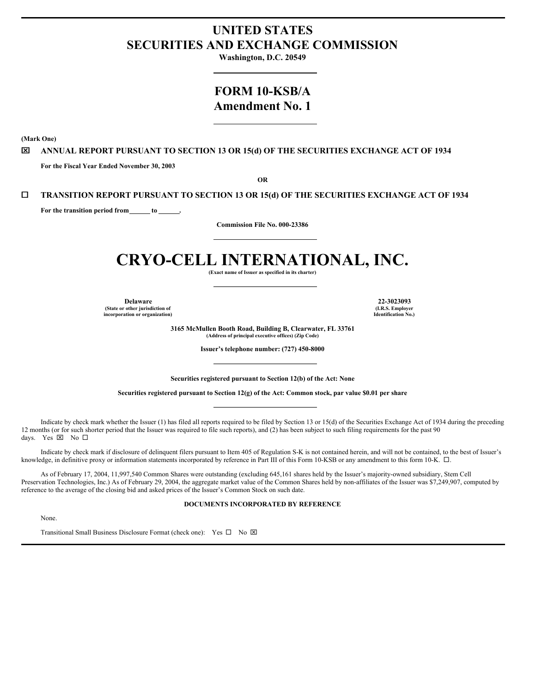# **UNITED STATES SECURITIES AND EXCHANGE COMMISSION**

**Washington, D.C. 20549**

# **FORM 10-KSB/A Amendment No. 1**

**(Mark One)**

# x **ANNUAL REPORT PURSUANT TO SECTION 13 OR 15(d) OF THE SECURITIES EXCHANGE ACT OF 1934**

**For the Fiscal Year Ended November 30, 2003**

**OR**

# ¨ **TRANSITION REPORT PURSUANT TO SECTION 13 OR 15(d) OF THE SECURITIES EXCHANGE ACT OF 1934**

**For the transition period from to .**

**Commission File No. 000-23386**

# **CRYO-CELL INTERNATIONAL, INC.**

**(Exact name of Issuer as specified in its charter)**

**Delaware 22-3023093 (State or other jurisdiction of incorporation or organization)**

**(I.R.S. Employer Identification No.)**

**3165 McMullen Booth Road, Building B, Clearwater, FL 33761 (Address of principal executive offices) (Zip Code)**

**Issuer's telephone number: (727) 450-8000**

**Securities registered pursuant to Section 12(b) of the Act: None**

**Securities registered pursuant to Section 12(g) of the Act: Common stock, par value \$0.01 per share**

Indicate by check mark whether the Issuer (1) has filed all reports required to be filed by Section 13 or 15(d) of the Securities Exchange Act of 1934 during the preceding 12 months (or for such shorter period that the Issuer was required to file such reports), and (2) has been subject to such filing requirements for the past 90 days. Yes ⊠ No □

Indicate by check mark if disclosure of delinquent filers pursuant to Item 405 of Regulation S-K is not contained herein, and will not be contained, to the best of Issuer's knowledge, in definitive proxy or information statements incorporated by reference in Part III of this Form 10-KSB or any amendment to this form 10-K.  $\Box$ .

As of February 17, 2004, 11,997,540 Common Shares were outstanding (excluding 645,161 shares held by the Issuer's majority-owned subsidiary, Stem Cell Preservation Technologies, Inc.) As of February 29, 2004, the aggregate market value of the Common Shares held by non-affiliates of the Issuer was \$7,249,907, computed by reference to the average of the closing bid and asked prices of the Issuer's Common Stock on such date.

**DOCUMENTS INCORPORATED BY REFERENCE**

None.

Transitional Small Business Disclosure Format (check one): Yes  $\square$  No  $\square$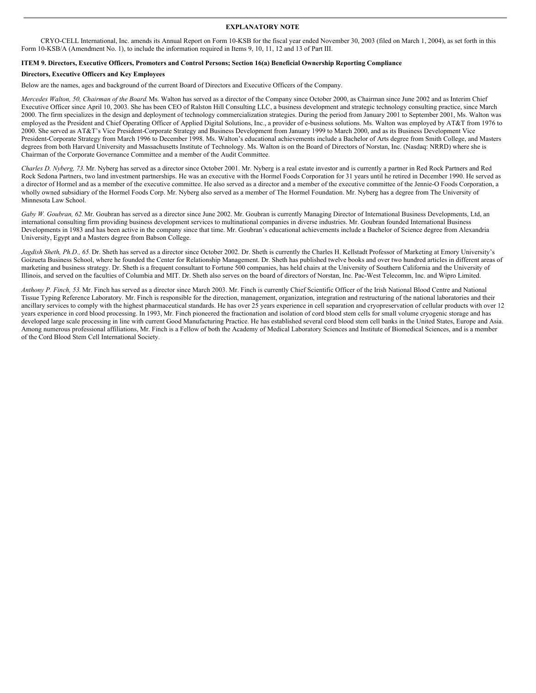## **EXPLANATORY NOTE**

CRYO-CELL International, Inc. amends its Annual Report on Form 10-KSB for the fiscal year ended November 30, 2003 (filed on March 1, 2004), as set forth in this Form 10-KSB/A (Amendment No. 1), to include the information required in Items 9, 10, 11, 12 and 13 of Part III.

#### ITEM 9. Directors, Executive Officers, Promoters and Control Persons; Section 16(a) Beneficial Ownership Reporting Compliance

# **Directors, Executive Officers and Key Employees**

Below are the names, ages and background of the current Board of Directors and Executive Officers of the Company.

*Mercedes Walton, 50, Chairman of the Board.*Ms. Walton has served as a director of the Company since October 2000, as Chairman since June 2002 and as Interim Chief Executive Officer since April 10, 2003. She has been CEO of Ralston Hill Consulting LLC, a business development and strategic technology consulting practice, since March 2000. The firm specializes in the design and deployment of technology commercialization strategies. During the period from January 2001 to September 2001, Ms. Walton was employed as the President and Chief Operating Officer of Applied Digital Solutions, Inc., a provider of e-business solutions. Ms. Walton was employed by AT&T from 1976 to 2000. She served as AT&T's Vice President-Corporate Strategy and Business Development from January 1999 to March 2000, and as its Business Development Vice President-Corporate Strategy from March 1996 to December 1998. Ms. Walton's educational achievements include a Bachelor of Arts degree from Smith College, and Masters degrees from both Harvard University and Massachusetts Institute of Technology. Ms. Walton is on the Board of Directors of Norstan, Inc. (Nasdaq: NRRD) where she is Chairman of the Corporate Governance Committee and a member of the Audit Committee.

*Charles D. Nyberg, 73.* Mr. Nyberg has served as a director since October 2001. Mr. Nyberg is a real estate investor and is currently a partner in Red Rock Partners and Red Rock Sedona Partners, two land investment partnerships. He was an executive with the Hormel Foods Corporation for 31 years until he retired in December 1990. He served as a director of Hormel and as a member of the executive committee. He also served as a director and a member of the executive committee of the Jennie-O Foods Corporation, a wholly owned subsidiary of the Hormel Foods Corp. Mr. Nyberg also served as a member of The Hormel Foundation. Mr. Nyberg has a degree from The University of Minnesota Law School.

*Gaby W. Goubran, 62.*Mr. Goubran has served as a director since June 2002. Mr. Goubran is currently Managing Director of International Business Developments, Ltd, an international consulting firm providing business development services to multinational companies in diverse industries. Mr. Goubran founded International Business Developments in 1983 and has been active in the company since that time. Mr. Goubran's educational achievements include a Bachelor of Science degree from Alexandria University, Egypt and a Masters degree from Babson College.

*Jagdish Sheth, Ph.D., 65.* Dr. Sheth has served as a director since October 2002. Dr. Sheth is currently the Charles H. Kellstadt Professor of Marketing at Emory University's Goizueta Business School, where he founded the Center for Relationship Management. Dr. Sheth has published twelve books and over two hundred articles in different areas of marketing and business strategy. Dr. Sheth is a frequent consultant to Fortune 500 companies, has held chairs at the University of Southern California and the University of Illinois, and served on the faculties of Columbia and MIT. Dr. Sheth also serves on the board of directors of Norstan, Inc. Pac-West Telecomm, Inc. and Wipro Limited.

*Anthony P. Finch, 53.* Mr. Finch has served as a director since March 2003. Mr. Finch is currently Chief Scientific Officer of the Irish National Blood Centre and National Tissue Typing Reference Laboratory. Mr. Finch is responsible for the direction, management, organization, integration and restructuring of the national laboratories and their ancillary services to comply with the highest pharmaceutical standards. He has over 25 years experience in cell separation and cryopreservation of cellular products with over 12 years experience in cord blood processing. In 1993, Mr. Finch pioneered the fractionation and isolation of cord blood stem cells for small volume cryogenic storage and has developed large scale processing in line with current Good Manufacturing Practice. He has established several cord blood stem cell banks in the United States, Europe and Asia. Among numerous professional affiliations, Mr. Finch is a Fellow of both the Academy of Medical Laboratory Sciences and Institute of Biomedical Sciences, and is a member of the Cord Blood Stem Cell International Society.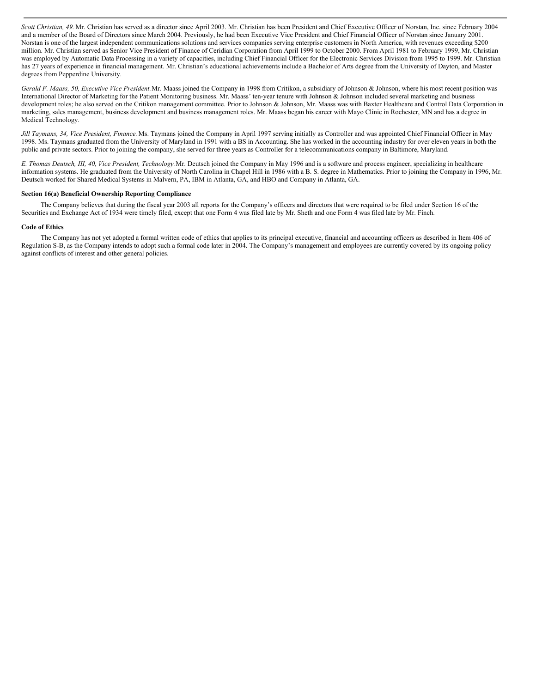*Scott Christian, 49.* Mr. Christian has served as a director since April 2003. Mr. Christian has been President and Chief Executive Officer of Norstan, Inc. since February 2004 and a member of the Board of Directors since March 2004. Previously, he had been Executive Vice President and Chief Financial Officer of Norstan since January 2001. Norstan is one of the largest independent communications solutions and services companies serving enterprise customers in North America, with revenues exceeding \$200 million. Mr. Christian served as Senior Vice President of Finance of Ceridian Corporation from April 1999 to October 2000. From April 1981 to February 1999, Mr. Christian was employed by Automatic Data Processing in a variety of capacities, including Chief Financial Officer for the Electronic Services Division from 1995 to 1999. Mr. Christian has 27 years of experience in financial management. Mr. Christian's educational achievements include a Bachelor of Arts degree from the University of Dayton, and Master degrees from Pepperdine University.

*Gerald F. Maass, 50, Executive Vice President.*Mr. Maass joined the Company in 1998 from Critikon, a subsidiary of Johnson & Johnson, where his most recent position was International Director of Marketing for the Patient Monitoring business. Mr. Maass' ten-year tenure with Johnson & Johnson included several marketing and business development roles; he also served on the Critikon management committee. Prior to Johnson & Johnson, Mr. Maass was with Baxter Healthcare and Control Data Corporation in marketing, sales management, business development and business management roles. Mr. Maass began his career with Mayo Clinic in Rochester, MN and has a degree in Medical Technology.

*Jill Taymans, 34, Vice President, Finance.* Ms. Taymans joined the Company in April 1997 serving initially as Controller and was appointed Chief Financial Officer in May 1998. Ms. Taymans graduated from the University of Maryland in 1991 with a BS in Accounting. She has worked in the accounting industry for over eleven years in both the public and private sectors. Prior to joining the company, she served for three years as Controller for a telecommunications company in Baltimore, Maryland.

*E. Thomas Deutsch, III, 40, Vice President, Technology.*Mr. Deutsch joined the Company in May 1996 and is a software and process engineer, specializing in healthcare information systems. He graduated from the University of North Carolina in Chapel Hill in 1986 with a B. S. degree in Mathematics. Prior to joining the Company in 1996, Mr. Deutsch worked for Shared Medical Systems in Malvern, PA, IBM in Atlanta, GA, and HBO and Company in Atlanta, GA.

# **Section 16(a) Beneficial Ownership Reporting Compliance**

The Company believes that during the fiscal year 2003 all reports for the Company's officers and directors that were required to be filed under Section 16 of the Securities and Exchange Act of 1934 were timely filed, except that one Form 4 was filed late by Mr. Sheth and one Form 4 was filed late by Mr. Finch.

# **Code of Ethics**

The Company has not yet adopted a formal written code of ethics that applies to its principal executive, financial and accounting officers as described in Item 406 of Regulation S-B, as the Company intends to adopt such a formal code later in 2004. The Company's management and employees are currently covered by its ongoing policy against conflicts of interest and other general policies.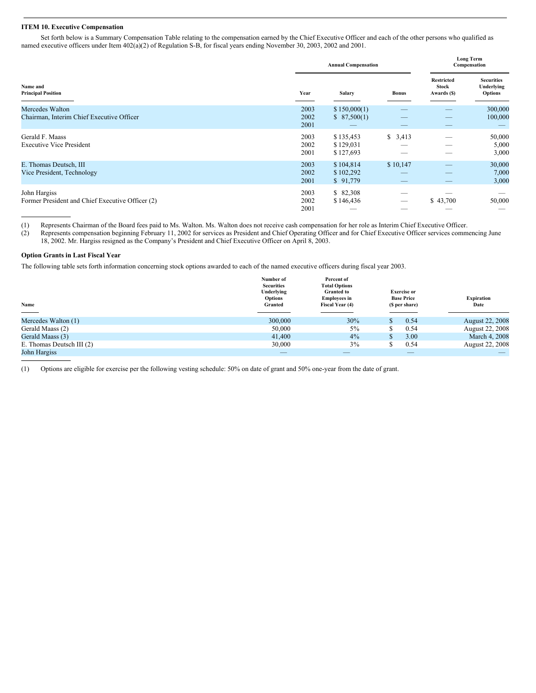# **ITEM 10. Executive Compensation**

Set forth below is a Summary Compensation Table relating to the compensation earned by the Chief Executive Officer and each of the other persons who qualified as named executive officers under Item 402(a)(2) of Regulation S-B, for fiscal years ending November 30, 2003, 2002 and 2001.

|                                                                  |                      | <b>Annual Compensation</b>          |                                                 |                                           | <b>Long Term</b><br>Compensation           |  |
|------------------------------------------------------------------|----------------------|-------------------------------------|-------------------------------------------------|-------------------------------------------|--------------------------------------------|--|
| Name and<br><b>Principal Position</b>                            | Year                 | Salary                              | <b>Bonus</b>                                    | Restricted<br><b>Stock</b><br>Awards (\$) | <b>Securities</b><br>Underlying<br>Options |  |
| Mercedes Walton<br>Chairman, Interim Chief Executive Officer     | 2003<br>2002<br>2001 | \$150,000(1)<br>\$87,500(1)         | _                                               |                                           | 300,000<br>100,000                         |  |
| Gerald F. Maass<br><b>Executive Vice President</b>               | 2003<br>2002<br>2001 | \$135,453<br>\$129,031<br>\$127,693 | \$3,413                                         |                                           | 50,000<br>5,000<br>3,000                   |  |
| E. Thomas Deutsch, III<br>Vice President, Technology             | 2003<br>2002<br>2001 | \$104,814<br>\$102,292<br>\$91,779  | \$10,147<br>_<br>$\overbrace{\hspace{25mm}}^{}$ | _                                         | 30,000<br>7,000<br>3,000                   |  |
| John Hargiss<br>Former President and Chief Executive Officer (2) | 2003<br>2002<br>2001 | \$ 82,308<br>\$146,436              | __                                              | \$43,700<br>__                            | 50,000<br>$\overbrace{\hspace{25mm}}^{}$   |  |

(1) Represents Chairman of the Board fees paid to Ms. Walton. Ms. Walton does not receive cash compensation for her role as Interim Chief Executive Officer.

(2) Represents compensation beginning February 11, 2002 for services as President and Chief Operating Officer and for Chief Executive Officer services commencing June 18, 2002. Mr. Hargiss resigned as the Company's President and Chief Executive Officer on April 8, 2003.

# **Option Grants in Last Fiscal Year**

The following table sets forth information concerning stock options awarded to each of the named executive officers during fiscal year 2003.

| Name<br>___               | Number of<br><b>Securities</b><br>Underlying<br>Options<br>Granted | Percent of<br><b>Total Options</b><br><b>Granted to</b><br><b>Employees in</b><br>Fiscal Year (4) | <b>Exercise</b> or<br><b>Base Price</b><br>(\$ per share) | <b>Expiration</b><br>Date |
|---------------------------|--------------------------------------------------------------------|---------------------------------------------------------------------------------------------------|-----------------------------------------------------------|---------------------------|
| Mercedes Walton (1)       | 300,000                                                            | 30%                                                                                               | 0.54                                                      | August 22, 2008           |
| Gerald Maass (2)          | 50,000                                                             | $5\%$                                                                                             | 0.54                                                      | August 22, 2008           |
| Gerald Maass (3)          | 41,400                                                             | $4\%$                                                                                             | 3.00<br>٠D                                                | March 4, 2008             |
| E. Thomas Deutsch III (2) | 30,000                                                             | 3%                                                                                                | 0.54                                                      | August 22, 2008           |
| John Hargiss              | _                                                                  | _                                                                                                 | $\overline{\phantom{a}}$                                  |                           |

(1) Options are eligible for exercise per the following vesting schedule: 50% on date of grant and 50% one-year from the date of grant.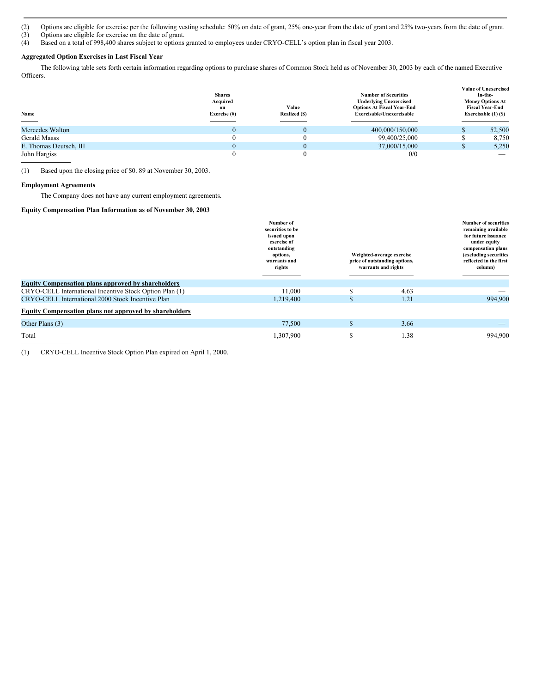- (2) Options are eligible for exercise per the following vesting schedule: 50% on date of grant, 25% one-year from the date of grant and 25% two-years from the date of grant.<br>(3) Options are eligible for exercise on the dat
- 
- (3) Options are eligible for exercise on the date of grant.<br>
(4) Based on a total of 998,400 shares subject to options Based on a total of 998,400 shares subject to options granted to employees under CRYO-CELL's option plan in fiscal year 2003.

# **Aggregated Option Exercises in Last Fiscal Year**

The following table sets forth certain information regarding options to purchase shares of Common Stock held as of November 30, 2003 by each of the named Executive Officers.

|                             |                 |                      |                                   | <b>Value of Unexercised</b> |  |
|-----------------------------|-----------------|----------------------|-----------------------------------|-----------------------------|--|
|                             | <b>Shares</b>   |                      | <b>Number of Securities</b>       | In-the-                     |  |
|                             | Acquired        |                      | <b>Underlying Unexercised</b>     | <b>Money Options At</b>     |  |
|                             | on              | Value                | <b>Options At Fiscal Year-End</b> | <b>Fiscal Year-End</b>      |  |
| Name                        | Exercise $(\#)$ | <b>Realized (\$)</b> | Exercisable/Unexercisable         | Exercisable (1) (\$)        |  |
| $\sim$ $\sim$ $\sim$ $\sim$ |                 |                      |                                   |                             |  |
| Mercedes Walton             | $\theta$        |                      | 400,000/150,000                   | 52,500                      |  |
| <b>Gerald Maass</b>         | 0               |                      | 99,400/25,000                     | 8,750                       |  |
| E. Thomas Deutsch, III      | $\theta$        |                      | 37,000/15,000                     | 5,250                       |  |
| John Hargiss                |                 |                      | 0/0                               | $\overline{\phantom{a}}$    |  |

(1) Based upon the closing price of \$0. 89 at November 30, 2003.

#### **Employment Agreements**

The Company does not have any current employment agreements.

# **Equity Compensation Plan Information as of November 30, 2003**

|                                                               | Number of<br>securities to be<br>issued upon<br>exercise of<br>outstanding<br>options,<br>warrants and<br>rights |    | Weighted-average exercise<br>price of outstanding options,<br>warrants and rights | <b>Number of securities</b><br>remaining available<br>for future issuance<br>under equity<br>compensation plans<br>(excluding securities<br>reflected in the first<br>column) |
|---------------------------------------------------------------|------------------------------------------------------------------------------------------------------------------|----|-----------------------------------------------------------------------------------|-------------------------------------------------------------------------------------------------------------------------------------------------------------------------------|
| <b>Equity Compensation plans approved by shareholders</b>     |                                                                                                                  |    |                                                                                   |                                                                                                                                                                               |
| CRYO-CELL International Incentive Stock Option Plan (1)       | 11.000                                                                                                           | ς  | 4.63                                                                              |                                                                                                                                                                               |
| CRYO-CELL International 2000 Stock Incentive Plan             | 1,219,400                                                                                                        |    | 1.21                                                                              | 994,900                                                                                                                                                                       |
| <b>Equity Compensation plans not approved by shareholders</b> |                                                                                                                  |    |                                                                                   |                                                                                                                                                                               |
| Other Plans (3)                                               | 77,500                                                                                                           | \$ | 3.66                                                                              |                                                                                                                                                                               |
| Total                                                         | 1,307,900                                                                                                        | Ð  | 1.38                                                                              | 994,900                                                                                                                                                                       |

(1) CRYO-CELL Incentive Stock Option Plan expired on April 1, 2000.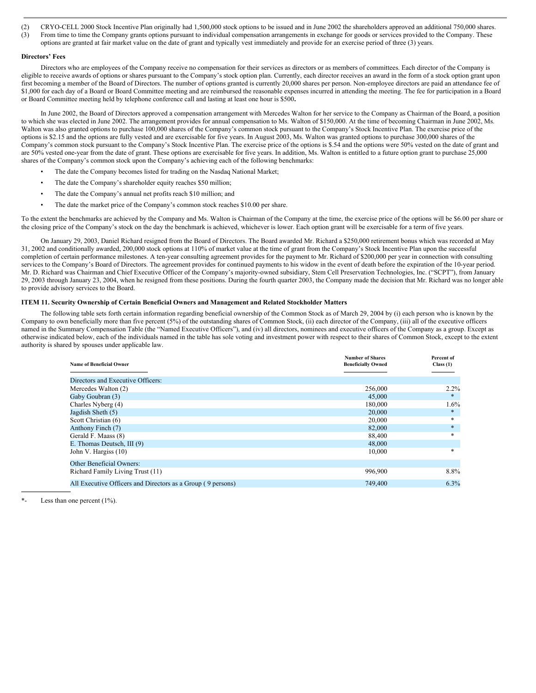- (2) CRYO-CELL 2000 Stock Incentive Plan originally had 1,500,000 stock options to be issued and in June 2002 the shareholders approved an additional 750,000 shares.
- (3) From time to time the Company grants options pursuant to individual compensation arrangements in exchange for goods or services provided to the Company. These
- options are granted at fair market value on the date of grant and typically vest immediately and provide for an exercise period of three (3) years.

#### **Directors' Fees**

Directors who are employees of the Company receive no compensation for their services as directors or as members of committees. Each director of the Company is eligible to receive awards of options or shares pursuant to the Company's stock option plan. Currently, each director receives an award in the form of a stock option grant upon first becoming a member of the Board of Directors. The number of options granted is currently 20,000 shares per person. Non-employee directors are paid an attendance fee of \$1,000 for each day of a Board or Board Committee meeting and are reimbursed the reasonable expenses incurred in attending the meeting. The fee for participation in a Board or Board Committee meeting held by telephone conference call and lasting at least one hour is \$500**.**

In June 2002, the Board of Directors approved a compensation arrangement with Mercedes Walton for her service to the Company as Chairman of the Board, a position to which she was elected in June 2002. The arrangement provides for annual compensation to Ms. Walton of \$150,000. At the time of becoming Chairman in June 2002, Ms. Walton was also granted options to purchase 100,000 shares of the Company's common stock pursuant to the Company's Stock Incentive Plan. The exercise price of the options is \$2.15 and the options are fully vested and are exercisable for five years. In August 2003, Ms. Walton was granted options to purchase 300,000 shares of the Company's common stock pursuant to the Company's Stock Incentive Plan. The exercise price of the options is \$.54 and the options were 50% vested on the date of grant and are 50% vested one-year from the date of grant. These options are exercisable for five years. In addition, Ms. Walton is entitled to a future option grant to purchase 25,000 shares of the Company's common stock upon the Company's achieving each of the following benchmarks:

- The date the Company becomes listed for trading on the Nasdaq National Market;
- The date the Company's shareholder equity reaches \$50 million;
- The date the Company's annual net profits reach \$10 million; and
- The date the market price of the Company's common stock reaches \$10.00 per share.

To the extent the benchmarks are achieved by the Company and Ms. Walton is Chairman of the Company at the time, the exercise price of the options will be \$6.00 per share or the closing price of the Company's stock on the day the benchmark is achieved, whichever is lower. Each option grant will be exercisable for a term of five years.

On January 29, 2003, Daniel Richard resigned from the Board of Directors. The Board awarded Mr. Richard a \$250,000 retirement bonus which was recorded at May 31, 2002 and conditionally awarded, 200,000 stock options at 110% of market value at the time of grant from the Company's Stock Incentive Plan upon the successful completion of certain performance milestones. A ten-year consulting agreement provides for the payment to Mr. Richard of \$200,000 per year in connection with consulting services to the Company's Board of Directors. The agreement provides for continued payments to his widow in the event of death before the expiration of the 10-year period. Mr. D. Richard was Chairman and Chief Executive Officer of the Company's majority-owned subsidiary, Stem Cell Preservation Technologies, Inc. ("SCPT"), from January 29, 2003 through January 23, 2004, when he resigned from these positions. During the fourth quarter 2003, the Company made the decision that Mr. Richard was no longer able to provide advisory services to the Board.

## **ITEM 11. Security Ownership of Certain Beneficial Owners and Management and Related Stockholder Matters**

The following table sets forth certain information regarding beneficial ownership of the Common Stock as of March 29, 2004 by (i) each person who is known by the Company to own beneficially more than five percent (5%) of the outstanding shares of Common Stock, (ii) each director of the Company, (iii) all of the executive officers named in the Summary Compensation Table (the "Named Executive Officers"), and (iv) all directors, nominees and executive officers of the Company as a group. Except as otherwise indicated below, each of the individuals named in the table has sole voting and investment power with respect to their shares of Common Stock, except to the extent authority is shared by spouses under applicable law.

| <b>Name of Beneficial Owner</b>                             | <b>Number of Shares</b><br><b>Beneficially Owned</b> | Percent of<br>Class(1) |
|-------------------------------------------------------------|------------------------------------------------------|------------------------|
|                                                             |                                                      |                        |
| Directors and Executive Officers:                           |                                                      |                        |
| Mercedes Walton (2)                                         | 256,000                                              | $2.2\%$                |
| Gaby Goubran (3)                                            | 45,000                                               | $\ast$                 |
| Charles Nyberg (4)                                          | 180,000                                              | $1.6\%$                |
| Jagdish Sheth (5)                                           | 20,000                                               | $\ast$                 |
| Scott Christian (6)                                         | 20,000                                               | $\ast$                 |
| Anthony Finch (7)                                           | 82,000                                               | $\ast$                 |
| Gerald F. Maass (8)                                         | 88,400                                               | $\ast$                 |
| E. Thomas Deutsch, III (9)                                  | 48,000                                               |                        |
| John V. Hargiss (10)                                        | 10,000                                               | $\ast$                 |
| <b>Other Beneficial Owners:</b>                             |                                                      |                        |
| Richard Family Living Trust (11)                            | 996,900                                              | 8.8%                   |
| All Executive Officers and Directors as a Group (9 persons) | 749,400                                              | 6.3%                   |

Less than one percent  $(1\%)$ .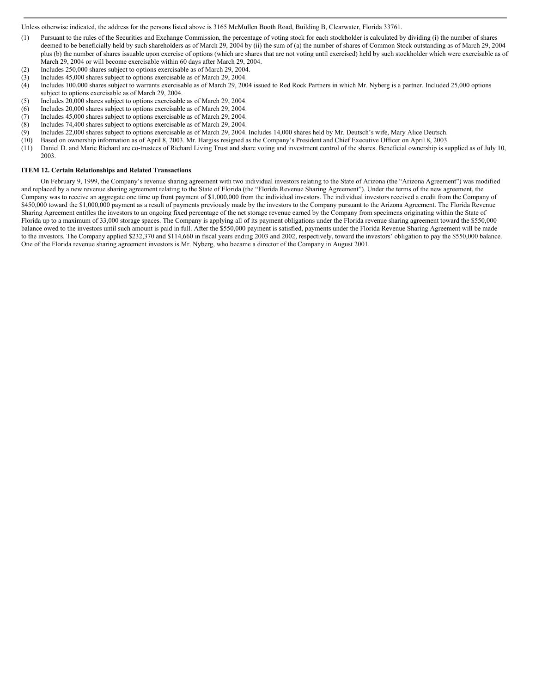Unless otherwise indicated, the address for the persons listed above is 3165 McMullen Booth Road, Building B, Clearwater, Florida 33761.

- (1) Pursuant to the rules of the Securities and Exchange Commission, the percentage of voting stock for each stockholder is calculated by dividing (i) the number of shares deemed to be beneficially held by such shareholders as of March 29, 2004 by (ii) the sum of (a) the number of shares of Common Stock outstanding as of March 29, 2004 plus (b) the number of shares issuable upon exercise of options (which are shares that are not voting until exercised) held by such stockholder which were exercisable as of March 29, 2004 or will become exercisable within 60 days after March 29, 2004.
- (2) Includes 250,000 shares subject to options exercisable as of March 29, 2004.
- (3) Includes 45,000 shares subject to options exercisable as of March 29, 2004.
- Includes 100,000 shares subject to warrants exercisable as of March 29, 2004 issued to Red Rock Partners in which Mr. Nyberg is a partner. Included 25,000 options subject to options exercisable as of March 29, 2004.
- (5) Includes 20,000 shares subject to options exercisable as of March 29, 2004.
- (6) Includes 20,000 shares subject to options exercisable as of March 29, 2004.
- (7) Includes 45,000 shares subject to options exercisable as of March 29, 2004.
- (8) Includes 74,400 shares subject to options exercisable as of March 29, 2004.
- (9) Includes 22,000 shares subject to options exercisable as of March 29, 2004. Includes 14,000 shares held by Mr. Deutsch's wife, Mary Alice Deutsch.
- (10) Based on ownership information as of April 8, 2003. Mr. Hargiss resigned as the Company's President and Chief Executive Officer on April 8, 2003.<br>(11) Daniel D. and Marie Richard are co-trustees of Richard Living Trus
- Daniel D. and Marie Richard are co-trustees of Richard Living Trust and share voting and investment control of the shares. Beneficial ownership is supplied as of July 10, 2003.

#### **ITEM 12. Certain Relationships and Related Transactions**

On February 9, 1999, the Company's revenue sharing agreement with two individual investors relating to the State of Arizona (the "Arizona Agreement") was modified and replaced by a new revenue sharing agreement relating to the State of Florida (the "Florida Revenue Sharing Agreement"). Under the terms of the new agreement, the Company was to receive an aggregate one time up front payment of \$1,000,000 from the individual investors. The individual investors received a credit from the Company of \$450,000 toward the \$1,000,000 payment as a result of payments previously made by the investors to the Company pursuant to the Arizona Agreement. The Florida Revenue Sharing Agreement entitles the investors to an ongoing fixed percentage of the net storage revenue earned by the Company from specimens originating within the State of Florida up to a maximum of 33,000 storage spaces. The Company is applying all of its payment obligations under the Florida revenue sharing agreement toward the \$550,000 balance owed to the investors until such amount is paid in full. After the \$550,000 payment is satisfied, payments under the Florida Revenue Sharing Agreement will be made to the investors. The Company applied \$232,370 and \$114,660 in fiscal years ending 2003 and 2002, respectively, toward the investors' obligation to pay the \$550,000 balance. One of the Florida revenue sharing agreement investors is Mr. Nyberg, who became a director of the Company in August 2001.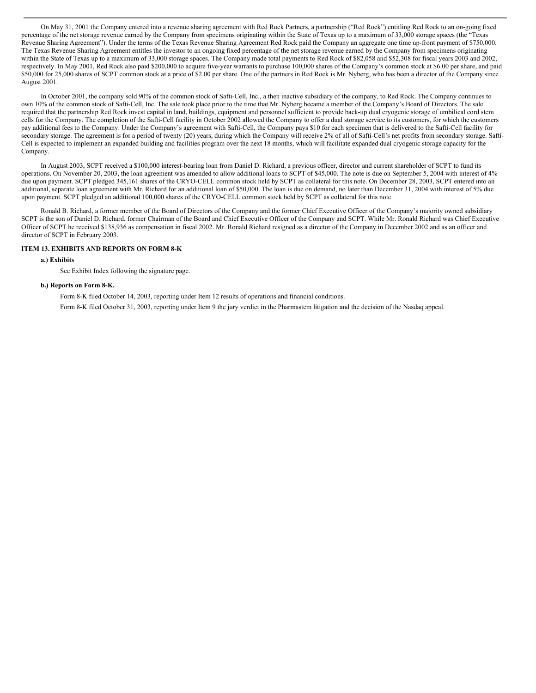On May 31, 2001 the Company entered into a revenue sharing agreement with Red Rock Partners, a partnership ("Red Rock") entitling Red Rock to an on-going fixed percentage of the net storage revenue earned by the Company from specimens originating within the State of Texas up to a maximum of 33,000 storage spaces (the "Texas Revenue Sharing Agreement"). Under the terms of the Texas Revenue Sharing Agreement Red Rock paid the Company an aggregate one time up-front payment of \$750,000. The Texas Revenue Sharing Agreement entitles the investor to an ongoing fixed percentage of the net storage revenue earned by the Company from specimens originating within the State of Texas up to a maximum of 33,000 storage spaces. The Company made total payments to Red Rock of \$82,058 and \$52,308 for fiscal years 2003 and 2002, respectively. In May 2001, Red Rock also paid \$200,000 to acquire five-year warrants to purchase 100,000 shares of the Company's common stock at \$6.00 per share, and paid \$50,000 for 25,000 shares of SCPT common stock at a price of \$2.00 per share. One of the partners in Red Rock is Mr. Nyberg, who has been a director of the Company since August 2001.

In October 2001, the company sold 90% of the common stock of Safti-Cell, Inc., a then inactive subsidiary of the company, to Red Rock. The Company continues to own 10% of the common stock of Safti-Cell, Inc. The sale took place prior to the time that Mr. Nyberg became a member of the Company's Board of Directors. The sale required that the partnership Red Rock invest capital in land, buildings, equipment and personnel sufficient to provide back-up dual cryogenic storage of umbilical cord stem cells for the Company. The completion of the Safti-Cell facility in October 2002 allowed the Company to offer a dual storage service to its customers, for which the customers pay additional fees to the Company. Under the Company's agreement with Safti-Cell, the Company pays \$10 for each specimen that is delivered to the Safti-Cell facility for secondary storage. The agreement is for a period of twenty (20) years, during which the Company will receive 2% of all of Safti-Cell's net profits from secondary storage. Safti-Cell is expected to implement an expanded building and facilities program over the next 18 months, which will facilitate expanded dual cryogenic storage capacity for the Company.

In August 2003, SCPT received a \$100,000 interest-bearing loan from Daniel D. Richard, a previous officer, director and current shareholder of SCPT to fund its operations. On November 20, 2003, the loan agreement was amended to allow additional loans to SCPT of \$45,000. The note is due on September 5, 2004 with interest of 4% due upon payment. SCPT pledged 345,161 shares of the CRYO-CELL common stock held by SCPT as collateral for this note. On December 28, 2003, SCPT entered into an additional, separate loan agreement with Mr. Richard for an additional loan of \$50,000. The loan is due on demand, no later than December 31, 2004 with interest of 5% due upon payment. SCPT pledged an additional 100,000 shares of the CRYO-CELL common stock held by SCPT as collateral for this note.

Ronald B. Richard, a former member of the Board of Directors of the Company and the former Chief Executive Officer of the Company's majority owned subsidiary SCPT is the son of Daniel D. Richard, former Chairman of the Board and Chief Executive Officer of the Company and SCPT. While Mr. Ronald Richard was Chief Executive Officer of SCPT he received \$138,936 as compensation in fiscal 2002. Mr. Ronald Richard resigned as a director of the Company in December 2002 and as an officer and director of SCPT in February 2003.

# **ITEM 13. EXHIBITS AND REPORTS ON FORM 8-K**

#### **a.) Exhibits**

See Exhibit Index following the signature page.

# **b.) Reports on Form 8-K.**

Form 8-K filed October 14, 2003, reporting under Item 12 results of operations and financial conditions.

Form 8-K filed October 31, 2003, reporting under Item 9 the jury verdict in the Pharmastem litigation and the decision of the Nasdaq appeal.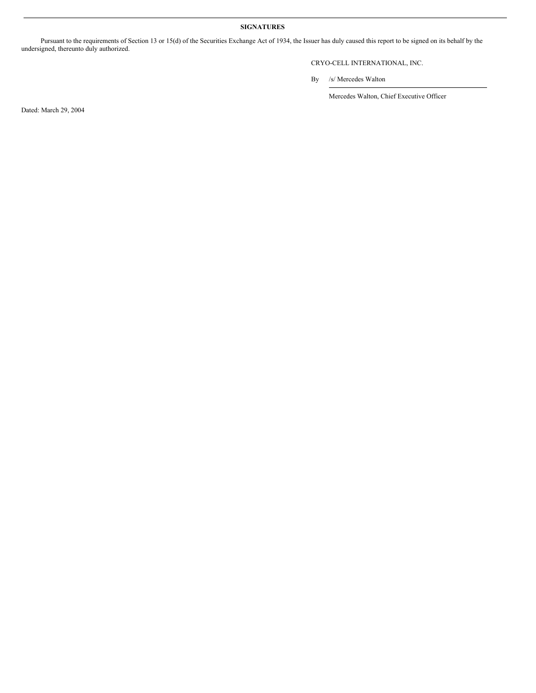# **SIGNATURES**

Pursuant to the requirements of Section 13 or 15(d) of the Securities Exchange Act of 1934, the Issuer has duly caused this report to be signed on its behalf by the undersigned, thereunto duly authorized.

# CRYO-CELL INTERNATIONAL, INC.

By /s/ Mercedes Walton

Mercedes Walton, Chief Executive Officer

Dated: March 29, 2004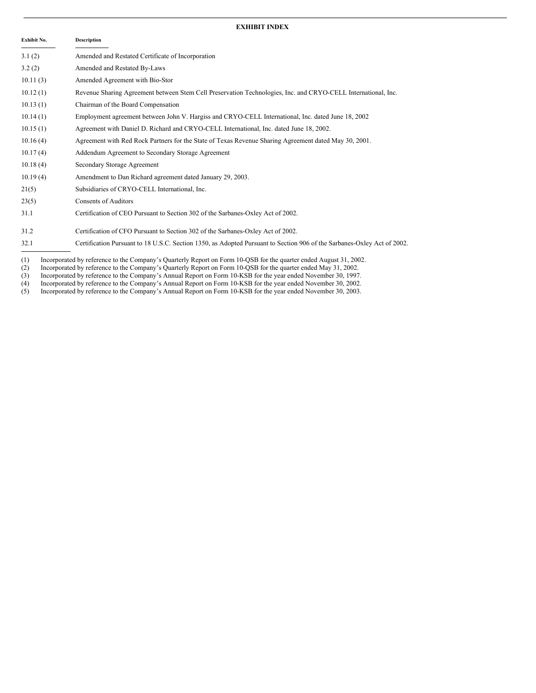# **EXHIBIT INDEX**

| Exhibit No.                                       | <b>Description</b>                                                                                                      |
|---------------------------------------------------|-------------------------------------------------------------------------------------------------------------------------|
| 3.1(2)                                            | Amended and Restated Certificate of Incorporation                                                                       |
| 3.2(2)                                            | Amended and Restated By-Laws                                                                                            |
| 10.11(3)                                          | Amended Agreement with Bio-Stor                                                                                         |
| 10.12(1)                                          | Revenue Sharing Agreement between Stem Cell Preservation Technologies, Inc. and CRYO-CELL International, Inc.           |
| 10.13(1)                                          | Chairman of the Board Compensation                                                                                      |
| 10.14(1)                                          | Employment agreement between John V. Hargiss and CRYO-CELL International, Inc. dated June 18, 2002                      |
| 10.15(1)                                          | Agreement with Daniel D. Richard and CRYO-CELL International, Inc. dated June 18, 2002.                                 |
| 10.16(4)                                          | Agreement with Red Rock Partners for the State of Texas Revenue Sharing Agreement dated May 30, 2001.                   |
| 10.17(4)                                          | Addendum Agreement to Secondary Storage Agreement                                                                       |
| 10.18(4)                                          | Secondary Storage Agreement                                                                                             |
| 10.19(4)                                          | Amendment to Dan Richard agreement dated January 29, 2003.                                                              |
| 21(5)                                             | Subsidiaries of CRYO-CELL International, Inc.                                                                           |
| 23(5)                                             | <b>Consents of Auditors</b>                                                                                             |
| 31.1                                              | Certification of CEO Pursuant to Section 302 of the Sarbanes-Oxley Act of 2002.                                         |
| 31.2                                              | Certification of CFO Pursuant to Section 302 of the Sarbanes-Oxley Act of 2002.                                         |
| 32.1                                              | Certification Pursuant to 18 U.S.C. Section 1350, as Adopted Pursuant to Section 906 of the Sarbanes-Oxley Act of 2002. |
| $\mathcal{L}$ and $\mathcal{L}$ and $\mathcal{L}$ | $\sim$ $\sim$ $\sim$ $\sim$<br>$\sim$ 10 $\sim$ 10 $\sim$ 10 $\sim$ 10<br>$\sim$ 10.000 $\sim$ 1                        |

(1) Incorporated by reference to the Company's Quarterly Report on Form 10-QSB for the quarter ended August 31, 2002.

(2) Incorporated by reference to the Company's Quarterly Report on Form 10-QSB for the quarter ended May 31, 2002.

(3) Incorporated by reference to the Company's Annual Report on Form 10-KSB for the year ended November 30, 1997.

(4) Incorporated by reference to the Company's Annual Report on Form 10-KSB for the year ended November 30, 2002.

(5) Incorporated by reference to the Company's Annual Report on Form 10-KSB for the year ended November 30, 2003.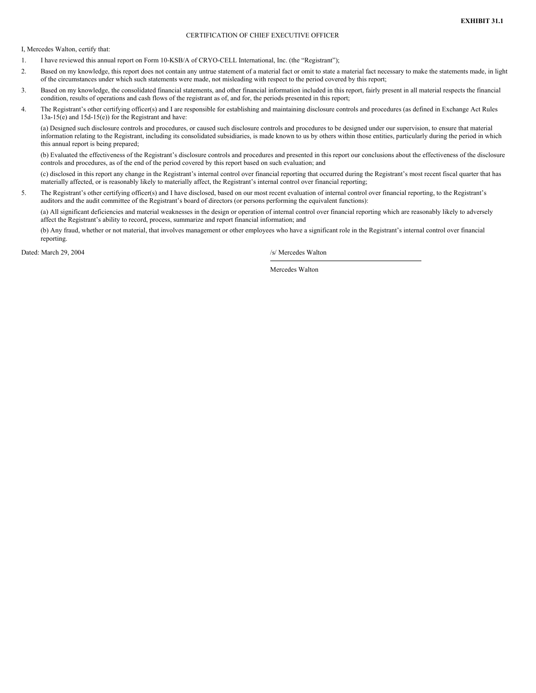# CERTIFICATION OF CHIEF EXECUTIVE OFFICER

I, Mercedes Walton, certify that:

- 1. I have reviewed this annual report on Form 10-KSB/A of CRYO-CELL International, Inc. (the "Registrant");
- 2. Based on my knowledge, this report does not contain any untrue statement of a material fact or omit to state a material fact necessary to make the statements made, in light of the circumstances under which such statements were made, not misleading with respect to the period covered by this report;
- 3. Based on my knowledge, the consolidated financial statements, and other financial information included in this report, fairly present in all material respects the financial condition, results of operations and cash flows of the registrant as of, and for, the periods presented in this report;
- 4. The Registrant's other certifying officer(s) and I are responsible for establishing and maintaining disclosure controls and procedures (as defined in Exchange Act Rules 13a-15(e) and 15d-15(e)) for the Registrant and have:

(a) Designed such disclosure controls and procedures, or caused such disclosure controls and procedures to be designed under our supervision, to ensure that material information relating to the Registrant, including its consolidated subsidiaries, is made known to us by others within those entities, particularly during the period in which this annual report is being prepared;

(b) Evaluated the effectiveness of the Registrant's disclosure controls and procedures and presented in this report our conclusions about the effectiveness of the disclosure controls and procedures, as of the end of the period covered by this report based on such evaluation; and

(c) disclosed in this report any change in the Registrant's internal control over financial reporting that occurred during the Registrant's most recent fiscal quarter that has materially affected, or is reasonably likely to materially affect, the Registrant's internal control over financial reporting;

5. The Registrant's other certifying officer(s) and I have disclosed, based on our most recent evaluation of internal control over financial reporting, to the Registrant's auditors and the audit committee of the Registrant's board of directors (or persons performing the equivalent functions):

(a) All significant deficiencies and material weaknesses in the design or operation of internal control over financial reporting which are reasonably likely to adversely affect the Registrant's ability to record, process, summarize and report financial information; and

(b) Any fraud, whether or not material, that involves management or other employees who have a significant role in the Registrant's internal control over financial reporting.

Dated: March 29, 2004 /s/ Mercedes Walton

Mercedes Walton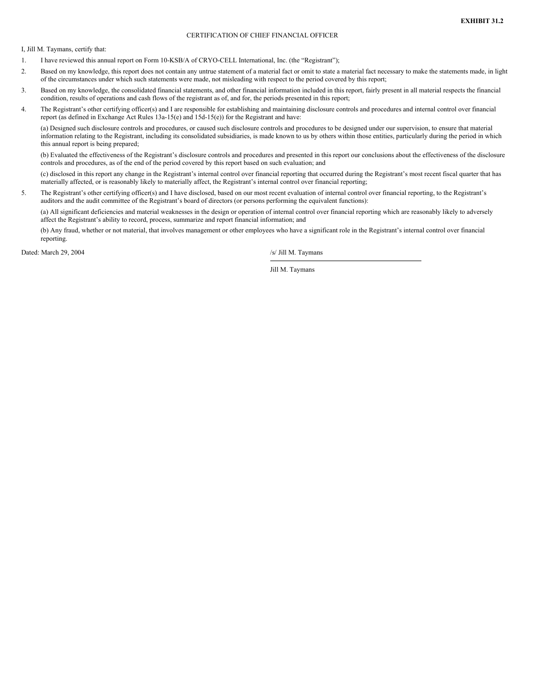# CERTIFICATION OF CHIEF FINANCIAL OFFICER

I, Jill M. Taymans, certify that:

- 1. I have reviewed this annual report on Form 10-KSB/A of CRYO-CELL International, Inc. (the "Registrant");
- 2. Based on my knowledge, this report does not contain any untrue statement of a material fact or omit to state a material fact necessary to make the statements made, in light of the circumstances under which such statements were made, not misleading with respect to the period covered by this report;
- 3. Based on my knowledge, the consolidated financial statements, and other financial information included in this report, fairly present in all material respects the financial condition, results of operations and cash flows of the registrant as of, and for, the periods presented in this report;
- 4. The Registrant's other certifying officer(s) and I are responsible for establishing and maintaining disclosure controls and procedures and internal control over financial report (as defined in Exchange Act Rules 13a-15(e) and 15d-15(e)) for the Registrant and have:

(a) Designed such disclosure controls and procedures, or caused such disclosure controls and procedures to be designed under our supervision, to ensure that material information relating to the Registrant, including its consolidated subsidiaries, is made known to us by others within those entities, particularly during the period in which this annual report is being prepared;

(b) Evaluated the effectiveness of the Registrant's disclosure controls and procedures and presented in this report our conclusions about the effectiveness of the disclosure controls and procedures, as of the end of the period covered by this report based on such evaluation; and

(c) disclosed in this report any change in the Registrant's internal control over financial reporting that occurred during the Registrant's most recent fiscal quarter that has materially affected, or is reasonably likely to materially affect, the Registrant's internal control over financial reporting;

5. The Registrant's other certifying officer(s) and I have disclosed, based on our most recent evaluation of internal control over financial reporting, to the Registrant's auditors and the audit committee of the Registrant's board of directors (or persons performing the equivalent functions):

(a) All significant deficiencies and material weaknesses in the design or operation of internal control over financial reporting which are reasonably likely to adversely affect the Registrant's ability to record, process, summarize and report financial information; and

(b) Any fraud, whether or not material, that involves management or other employees who have a significant role in the Registrant's internal control over financial reporting.

Dated: March 29, 2004 /s/ Jill M. Taymans

Jill M. Taymans